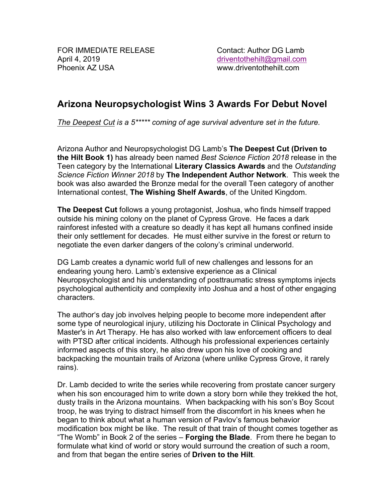## **Arizona Neuropsychologist Wins 3 Awards For Debut Novel**

*The Deepest Cut is a 5\*\*\*\*\* coming of age survival adventure set in the future.*

Arizona Author and Neuropsychologist DG Lamb's **The Deepest Cut (Driven to the Hilt Book 1)** has already been named *Best Science Fiction 2018* release in the Teen category by the International **Literary Classics Awards** and the *Outstanding Science Fiction Winner 2018* by **The Independent Author Network**. This week the book was also awarded the Bronze medal for the overall Teen category of another International contest, **The Wishing Shelf Awards**, of the United Kingdom.

**The Deepest Cut** follows a young protagonist, Joshua, who finds himself trapped outside his mining colony on the planet of Cypress Grove. He faces a dark rainforest infested with a creature so deadly it has kept all humans confined inside their only settlement for decades. He must either survive in the forest or return to negotiate the even darker dangers of the colony's criminal underworld.

DG Lamb creates a dynamic world full of new challenges and lessons for an endearing young hero. Lamb's extensive experience as a Clinical Neuropsychologist and his understanding of posttraumatic stress symptoms injects psychological authenticity and complexity into Joshua and a host of other engaging characters.

The author's day job involves helping people to become more independent after some type of neurological injury, utilizing his Doctorate in Clinical Psychology and Master's in Art Therapy. He has also worked with law enforcement officers to deal with PTSD after critical incidents. Although his professional experiences certainly informed aspects of this story, he also drew upon his love of cooking and backpacking the mountain trails of Arizona (where unlike Cypress Grove, it rarely rains).

Dr. Lamb decided to write the series while recovering from prostate cancer surgery when his son encouraged him to write down a story born while they trekked the hot, dusty trails in the Arizona mountains. When backpacking with his son's Boy Scout troop, he was trying to distract himself from the discomfort in his knees when he began to think about what a human version of Pavlov's famous behavior modification box might be like. The result of that train of thought comes together as "The Womb" in Book 2 of the series – **Forging the Blade**. From there he began to formulate what kind of world or story would surround the creation of such a room, and from that began the entire series of **Driven to the Hilt**.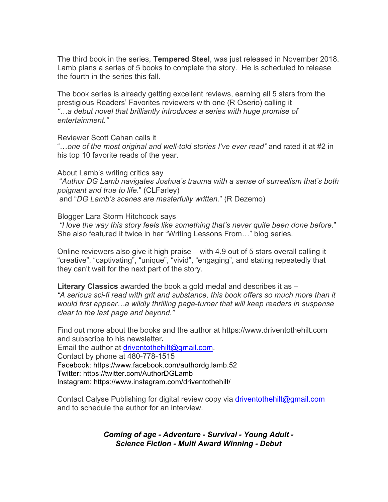The third book in the series, **Tempered Steel**, was just released in November 2018. Lamb plans a series of 5 books to complete the story. He is scheduled to release the fourth in the series this fall.

The book series is already getting excellent reviews, earning all 5 stars from the prestigious Readers' Favorites reviewers with one (R Oserio) calling it *"…a debut novel that brilliantly introduces a series with huge promise of entertainment."*

Reviewer Scott Cahan calls it

"…*one of the most original and well-told stories I've ever read"* and rated it at #2 in his top 10 favorite reads of the year.

About Lamb's writing critics say "*Author DG Lamb navigates Joshua's trauma with a sense of surrealism that's both poignant and true to life*." (CLFarley) and "*DG Lamb's scenes are masterfully written.*" (R Dezemo)

Blogger Lara Storm Hitchcock says

*"I love the way this story feels like something that's never quite been done before.*" She also featured it twice in her "Writing Lessons From…" blog series.

Online reviewers also give it high praise – with 4.9 out of 5 stars overall calling it "creative", "captivating", "unique", "vivid", "engaging", and stating repeatedly that they can't wait for the next part of the story.

**Literary Classics** awarded the book a gold medal and describes it as – *"A serious sci-fi read with grit and substance, this book offers so much more than it would first appear…a wildly thrilling page-turner that will keep readers in suspense clear to the last page and beyond."*

Find out more about the books and the author at https://www.driventothehilt.com and subscribe to his newsletter**.**

Email the author at driventothehilt@gmail.com. Contact by phone at 480-778-1515 Facebook: https://www.facebook.com/authordg.lamb.52 Twitter: https://twitter.com/AuthorDGLamb Instagram: https://www.instagram.com/driventothehilt/

Contact Calyse Publishing for digital review copy via driventothehilt@gmail.com and to schedule the author for an interview.

> *Coming of age - Adventure - Survival - Young Adult - Science Fiction - Multi Award Winning - Debut*